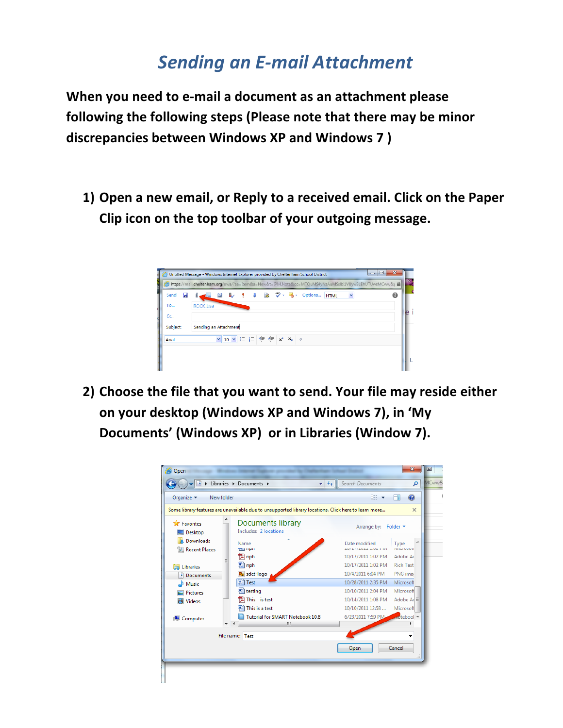## *Sending'an'E\*mail'Attachment*

When you need to e-mail a document as an attachment please following the following steps (Please note that there may be minor **discrepancies between Windows XP and Windows 7)** 

**1)** Open a new email, or Reply to a received email. Click on the Paper Clip icon on the top toolbar of your outgoing message.



**2)** Choose the file that you want to send. Your file may reside either on your desktop (Windows XP and Windows 7), in 'My Documents' (Windows XP) or in Libraries (Window 7).

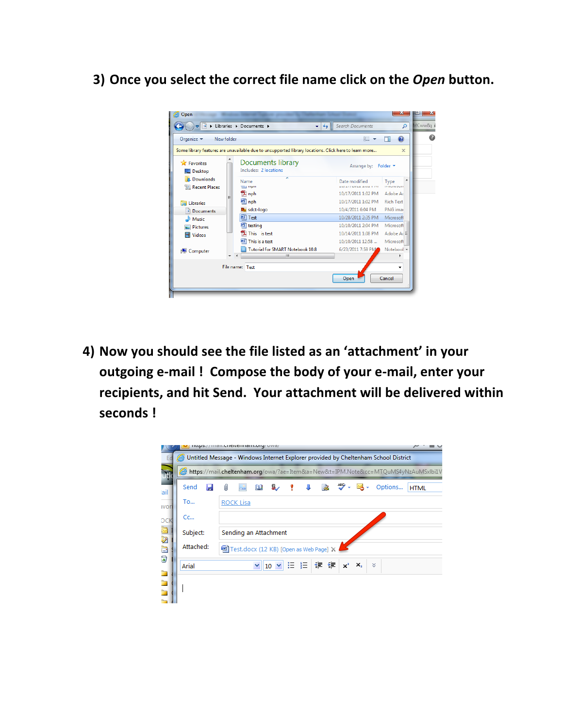**3)** Once you select the correct file name click on the *Open* button.



4) Now you should see the file listed as an 'attachment' in your outgoing e-mail ! Compose the body of your e-mail, enter your recipients, and hit Send. Your attachment will be delivered within **seconds!** 

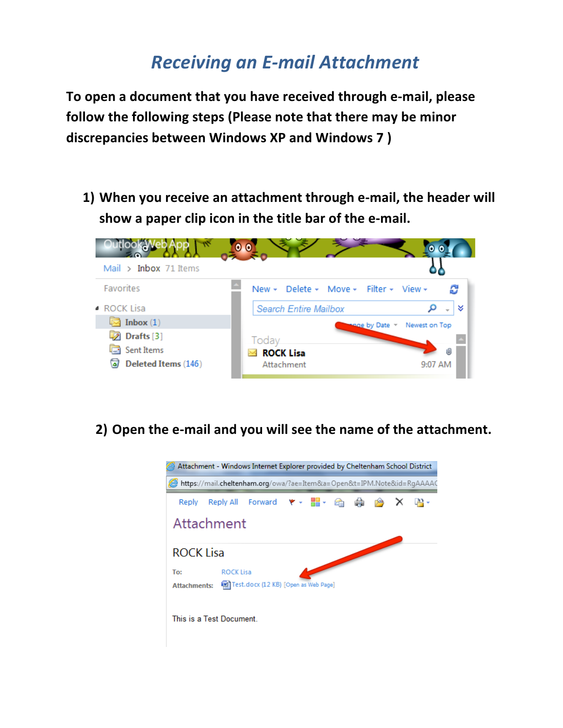## **Receiving an E-mail Attachment**

**To%open a%document%that%you%have%received%through%e+mail, please%** follow the following steps (Please note that there may be minor **discrepancies between Windows XP and Windows 7)** 

**1)** When you receive an attachment through e-mail, the header will show a paper clip icon in the title bar of the e-mail.



## **2)** Open the e-mail and you will see the name of the attachment.

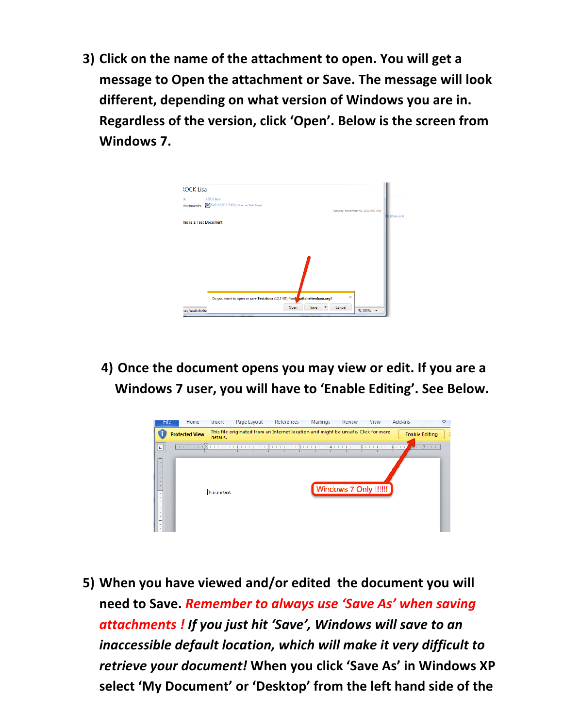**3)** Click on the name of the attachment to open. You will get a message to Open the attachment or Save. The message will look **different, depending on what version of Windows you are in. Regardless of the version, click 'Open'. Below is the screen from** Windows 7.



**4)** Once the document opens you may view or edit. If you are a Windows 7 user, you will have to 'Enable Editing'. See Below.



**5)** When you have viewed and/or edited the document you will **need%to%Save.%***Remember'to'always'use 'Save'As''when'saving' attachments'! If'you'just'hit''Save', Windows'will'save'to'an* inaccessible default location, which will make it very difficult to *retrieve your document!* When you click 'Save As' in Windows XP select 'My Document' or 'Desktop' from the left hand side of the